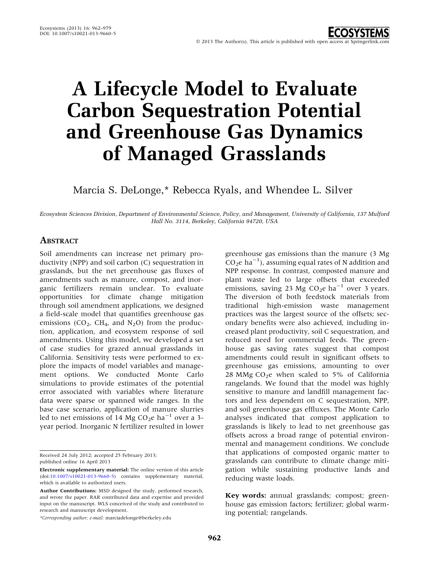# A Lifecycle Model to Evaluate Carbon Sequestration Potential and Greenhouse Gas Dynamics of Managed Grasslands

Marcia S. DeLonge,\* Rebecca Ryals, and Whendee L. Silver

Ecosystem Sciences Division, Department of Environmental Science, Policy, and Management, University of California, 137 Mulford Hall No. 3114, Berkeley, California 94720, USA

# **ABSTRACT**

Soil amendments can increase net primary productivity (NPP) and soil carbon (C) sequestration in grasslands, but the net greenhouse gas fluxes of amendments such as manure, compost, and inorganic fertilizers remain unclear. To evaluate opportunities for climate change mitigation through soil amendment applications, we designed a field-scale model that quantifies greenhouse gas emissions  $(CO_2, CH_4, and N_2O)$  from the production, application, and ecosystem response of soil amendments. Using this model, we developed a set of case studies for grazed annual grasslands in California. Sensitivity tests were performed to explore the impacts of model variables and management options. We conducted Monte Carlo simulations to provide estimates of the potential error associated with variables where literature data were sparse or spanned wide ranges. In the base case scenario, application of manure slurries led to net emissions of 14 Mg  $CO<sub>2</sub>e$  ha<sup>-1</sup> over a 3year period. Inorganic N fertilizer resulted in lower

Received 24 July 2012; accepted 25 February 2013; published online 16 April 2013

\*Corresponding author; e-mail: marciadelonge@berkeley.edu

greenhouse gas emissions than the manure (3 Mg  $CO<sub>2</sub>e$  ha<sup>-1</sup>), assuming equal rates of N addition and NPP response. In contrast, composted manure and plant waste led to large offsets that exceeded emissions, saving 23 Mg  $CO<sub>2</sub>e$  ha<sup>-1</sup> over 3 years. The diversion of both feedstock materials from traditional high-emission waste management practices was the largest source of the offsets; secondary benefits were also achieved, including increased plant productivity, soil C sequestration, and reduced need for commercial feeds. The greenhouse gas saving rates suggest that compost amendments could result in significant offsets to greenhouse gas emissions, amounting to over 28 MMg  $CO<sub>2</sub>e$  when scaled to 5% of California rangelands. We found that the model was highly sensitive to manure and landfill management factors and less dependent on C sequestration, NPP, and soil greenhouse gas effluxes. The Monte Carlo analyses indicated that compost application to grasslands is likely to lead to net greenhouse gas offsets across a broad range of potential environmental and management conditions. We conclude that applications of composted organic matter to grasslands can contribute to climate change mitigation while sustaining productive lands and reducing waste loads.

Key words: annual grasslands; compost; greenhouse gas emission factors; fertilizer; global warming potential; rangelands.

Electronic supplementary material: The online version of this article (doi[:10.1007/s10021-013-9660-5\)](http://dx.doi.org/10.1007/s10021-013-9660-5) contains supplementary material, which is available to authorized users.

Author Contributions: MSD designed the study, performed research, and wrote the paper. RAR contributed data and expertise and provided input on the manuscript. WLS conceived of the study and contributed to research and manuscript development.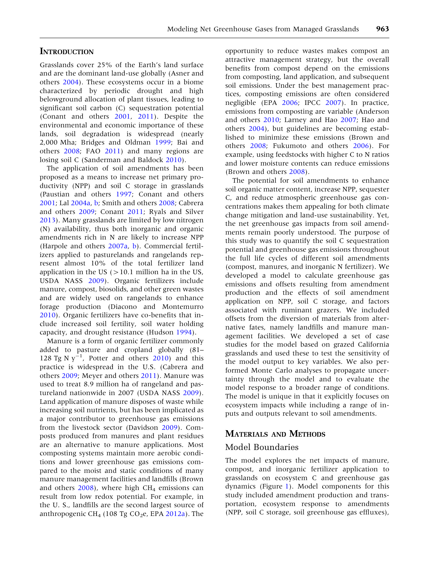## **INTRODUCTION**

Grasslands cover 25% of the Earth's land surface and are the dominant land-use globally (Asner and others [2004\)](#page-14-0). These ecosystems occur in a biome characterized by periodic drought and high belowground allocation of plant tissues, leading to significant soil carbon (C) sequestration potential (Conant and others [2001,](#page-14-0) [2011](#page-14-0)). Despite the environmental and economic importance of these lands, soil degradation is widespread (nearly 2,000 Mha; Bridges and Oldman [1999;](#page-14-0) Bai and others [2008](#page-14-0); FAO [2011](#page-15-0)) and many regions are losing soil C (Sanderman and Baldock [2010](#page-16-0)).

The application of soil amendments has been proposed as a means to increase net primary productivity (NPP) and soil C storage in grasslands (Paustian and others [1997](#page-16-0); Conant and others [2001;](#page-14-0) Lal [2004a](#page-15-0), [b](#page-15-0); Smith and others [2008;](#page-16-0) Cabrera and others [2009](#page-14-0); Conant [2011;](#page-14-0) Ryals and Silver [2013\)](#page-16-0). Many grasslands are limited by low nitrogen (N) availability, thus both inorganic and organic amendments rich in N are likely to increase NPP (Harpole and others [2007a,](#page-15-0) [b\)](#page-15-0). Commercial fertilizers applied to pasturelands and rangelands represent almost 10% of the total fertilizer land application in the US  $(>10.1$  million ha in the US, USDA NASS [2009](#page-16-0)). Organic fertilizers include manure, compost, biosolids, and other green wastes and are widely used on rangelands to enhance forage production (Diacono and Montemurro [2010\)](#page-15-0). Organic fertilizers have co-benefits that include increased soil fertility, soil water holding capacity, and drought resistance (Hudson [1994\)](#page-15-0).

Manure is a form of organic fertilizer commonly added to pasture and cropland globally (81– 128 Tg N  $y^{-1}$ , Potter and others [2010\)](#page-16-0) and this practice is widespread in the U.S. (Cabrera and others [2009;](#page-14-0) Meyer and others [2011](#page-16-0)). Manure was used to treat 8.9 million ha of rangeland and pastureland nationwide in 2007 (USDA NASS [2009](#page-16-0)). Land application of manure disposes of waste while increasing soil nutrients, but has been implicated as a major contributor to greenhouse gas emissions from the livestock sector (Davidson [2009\)](#page-14-0). Composts produced from manures and plant residues are an alternative to manure applications. Most composting systems maintain more aerobic conditions and lower greenhouse gas emissions compared to the moist and static conditions of many manure management facilities and landfills (Brown and others  $2008$ ), where high CH<sub>4</sub> emissions can result from low redox potential. For example, in the U. S., landfills are the second largest source of anthropogenic CH<sub>4</sub> (108 Tg CO<sub>2</sub>e, EPA  $2012a$ ). The

opportunity to reduce wastes makes compost an attractive management strategy, but the overall benefits from compost depend on the emissions from composting, land application, and subsequent soil emissions. Under the best management practices, composting emissions are often considered negligible (EPA [2006](#page-15-0); IPCC [2007\)](#page-15-0). In practice, emissions from composting are variable (Anderson and others [2010;](#page-14-0) Larney and Hao [2007;](#page-15-0) Hao and others [2004](#page-15-0)), but guidelines are becoming established to minimize these emissions (Brown and others [2008](#page-14-0); Fukumoto and others [2006\)](#page-15-0). For example, using feedstocks with higher C to N ratios and lower moisture contents can reduce emissions (Brown and others [2008](#page-14-0)).

The potential for soil amendments to enhance soil organic matter content, increase NPP, sequester C, and reduce atmospheric greenhouse gas concentrations makes them appealing for both climate change mitigation and land-use sustainability. Yet, the net greenhouse gas impacts from soil amendments remain poorly understood. The purpose of this study was to quantify the soil C sequestration potential and greenhouse gas emissions throughout the full life cycles of different soil amendments (compost, manures, and inorganic N fertilizer). We developed a model to calculate greenhouse gas emissions and offsets resulting from amendment production and the effects of soil amendment application on NPP, soil C storage, and factors associated with ruminant grazers. We included offsets from the diversion of materials from alternative fates, namely landfills and manure management facilities. We developed a set of case studies for the model based on grazed California grasslands and used these to test the sensitivity of the model output to key variables. We also performed Monte Carlo analyses to propagate uncertainty through the model and to evaluate the model response to a broader range of conditions. The model is unique in that it explicitly focuses on ecosystem impacts while including a range of inputs and outputs relevant to soil amendments.

## MATERIALS AND METHODS

## Model Boundaries

The model explores the net impacts of manure, compost, and inorganic fertilizer application to grasslands on ecosystem C and greenhouse gas dynamics (Figure [1](#page-2-0)). Model components for this study included amendment production and transportation, ecosystem response to amendments (NPP, soil C storage, soil greenhouse gas effluxes),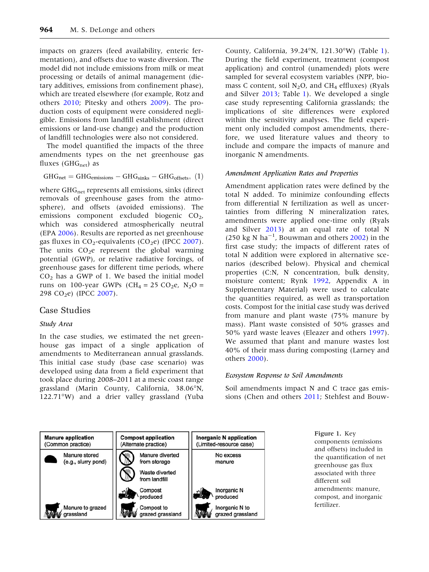<span id="page-2-0"></span>impacts on grazers (feed availability, enteric fermentation), and offsets due to waste diversion. The model did not include emissions from milk or meat processing or details of animal management (dietary additives, emissions from confinement phase), which are treated elsewhere (for example, Rotz and others [2010;](#page-16-0) Pitesky and others [2009](#page-16-0)). The production costs of equipment were considered negligible. Emissions from landfill establishment (direct emissions or land-use change) and the production of landfill technologies were also not considered.

The model quantified the impacts of the three amendments types on the net greenhouse gas fluxes (GH $G_{net}$ ) as

$$
GHG_{net} = GHG_{emissions} - GHG_{sinks} - GHG_{offsets},\,\,(1)
$$

where GHG<sub>net</sub> represents all emissions, sinks (direct removals of greenhouse gases from the atmosphere), and offsets (avoided emissions). The emissions component excluded biogenic  $CO<sub>2</sub>$ , which was considered atmospherically neutral (EPA [2006](#page-15-0)). Results are reported as net greenhouse gas fluxes in  $CO_2$ -equivalents ( $CO_2$ e) (IPCC [2007](#page-15-0)). The units  $CO<sub>2</sub>e$  represent the global warming potential (GWP), or relative radiative forcings, of greenhouse gases for different time periods, where  $CO<sub>2</sub>$  has a GWP of 1. We based the initial model runs on 100-year GWPs (CH<sub>4</sub> = 25 CO<sub>2</sub>e, N<sub>2</sub>O = 298 CO<sub>2</sub>e) (IPCC [2007\)](#page-15-0).

## Case Studies

#### Study Area

In the case studies, we estimated the net greenhouse gas impact of a single application of amendments to Mediterranean annual grasslands. This initial case study (base case scenario) was developed using data from a field experiment that took place during 2008–2011 at a mesic coast range grassland (Marin County, California, 38.06"N, 122.71"W) and a drier valley grassland (Yuba

County, California, 39.24"N, 121.30"W) (Table [1](#page-3-0)). During the field experiment, treatment (compost application) and control (unamended) plots were sampled for several ecosystem variables (NPP, biomass C content, soil  $N_2O$ , and CH<sub>4</sub> effluxes) (Ryals and Silver [2013;](#page-16-0) Table [1](#page-3-0)). We developed a single case study representing California grasslands; the implications of site differences were explored within the sensitivity analyses. The field experiment only included compost amendments, therefore, we used literature values and theory to include and compare the impacts of manure and inorganic N amendments.

#### Amendment Application Rates and Properties

Amendment application rates were defined by the total N added. To minimize confounding effects from differential N fertilization as well as uncertainties from differing N mineralization rates, amendments were applied one-time only (Ryals and Silver [2013\)](#page-16-0) at an equal rate of total N  $(250 \text{ kg N} \text{ ha}^{-1})$ , Bouwman and others [2002\)](#page-14-0) in the first case study; the impacts of different rates of total N addition were explored in alternative scenarios (described below). Physical and chemical properties (C:N, N concentration, bulk density, moisture content; Rynk [1992](#page-16-0), Appendix A in Supplementary Material) were used to calculate the quantities required, as well as transportation costs. Compost for the initial case study was derived from manure and plant waste (75% manure by mass). Plant waste consisted of 50% grasses and 50% yard waste leaves (Eleazer and others [1997](#page-15-0)). We assumed that plant and manure wastes lost 40% of their mass during composting (Larney and others [2000\)](#page-15-0).

#### Ecosystem Response to Soil Amendments

Soil amendments impact N and C trace gas emissions (Chen and others [2011;](#page-14-0) Stehfest and Bouw-



Figure 1. Key components (emissions and offsets) included in the quantification of net greenhouse gas flux associated with three different soil amendments: manure, compost, and inorganic fertilizer.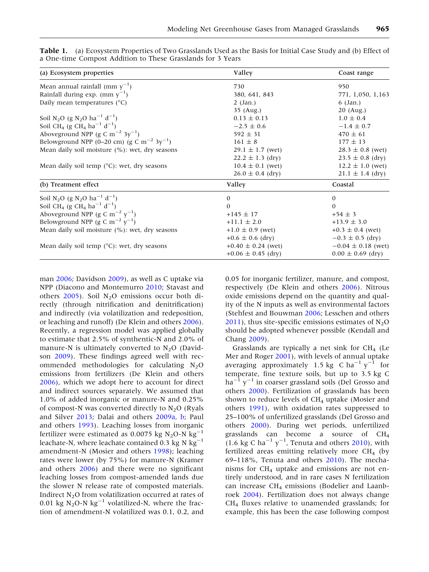| (a) Ecosystem properties                                                     | Valley                 | Coast range            |
|------------------------------------------------------------------------------|------------------------|------------------------|
| Mean annual rainfall (mm $y^{-1}$ )                                          | 730                    | 950                    |
| Rainfall during exp. (mm $y^{-1}$ )                                          | 380, 641, 843          | 771, 1,050, 1,163      |
| Daily mean temperatures $(^{\circ}C)$                                        | $2$ (Jan.)             | $6 \text{ (Jan.)}$     |
|                                                                              | 35 (Aug.)              | $20$ (Aug.)            |
| Soil N <sub>2</sub> O (g N <sub>2</sub> O ha <sup>-1</sup> d <sup>-1</sup> ) | $0.13 \pm 0.13$        | $1.0 \pm 0.4$          |
| Soil CH <sub>4</sub> (g CH <sub>4</sub> ha <sup>-1</sup> d <sup>-1</sup> )   | $-2.5 \pm 0.6$         | $-1.4 \pm 0.7$         |
| Aboveground NPP (g C m <sup>-2</sup> 3y <sup>-1</sup> )                      | $592 \pm 31$           | $470 \pm 61$           |
| Belowground NPP (0–20 cm) (g C m <sup>-2</sup> 3y <sup>-1</sup> )            | $161 \pm 8$            | $177 \pm 13$           |
| Mean daily soil moisture $(\%)$ : wet, dry seasons                           | $29.1 \pm 1.7$ (wet)   | $28.3 \pm 0.8$ (wet)   |
|                                                                              | $22.2 \pm 1.3$ (dry)   | $23.5 \pm 0.8$ (dry)   |
| Mean daily soil temp $(^{\circ}C)$ : wet, dry seasons                        | $10.4 \pm 0.1$ (wet)   | $12.2 \pm 1.0$ (wet)   |
|                                                                              | $26.0 \pm 0.4$ (dry)   | $21.1 \pm 1.4$ (dry)   |
| (b) Treatment effect                                                         | Valley                 | Coastal                |
| Soil N <sub>2</sub> O (g N <sub>2</sub> O ha <sup>-1</sup> d <sup>-1</sup> ) | $\theta$               | $\Omega$               |
| Soil CH <sub>4</sub> (g CH <sub>4</sub> ha <sup>-1</sup> d <sup>-1</sup> )   | $\Omega$               | $\Omega$               |
| Aboveground NPP (g C m <sup>-2</sup> y <sup>-1</sup> )                       | $+145 \pm 17$          | $+54 \pm 3$            |
| Belowground NPP (g C m <sup>-2</sup> y <sup>-1</sup> )                       | $+11.1 \pm 2.0$        | $+13.9 \pm 3.0$        |
| Mean daily soil moisture $(\%)$ : wet, dry seasons                           | $+1.0 \pm 0.9$ (wet)   | $+0.3 \pm 0.4$ (wet)   |
|                                                                              | $+0.6 \pm 0.6$ (dry)   | $-0.3 \pm 0.5$ (dry)   |
| Mean daily soil temp $(^{\circ}C)$ : wet, dry seasons                        | $+0.40 \pm 0.24$ (wet) | $-0.04 \pm 0.18$ (wet) |
|                                                                              | $+0.06 \pm 0.45$ (dry) | $0.00 \pm 0.69$ (dry)  |

<span id="page-3-0"></span>Table 1. (a) Ecosystem Properties of Two Grasslands Used as the Basis for Initial Case Study and (b) Effect of a One-time Compost Addition to These Grasslands for 3 Years

man [2006;](#page-16-0) Davidson [2009\)](#page-14-0), as well as C uptake via NPP (Diacono and Montemurro [2010](#page-15-0); Stavast and others  $2005$ ). Soil N<sub>2</sub>O emissions occur both directly (through nitrification and denitrification) and indirectly (via volatilization and redeposition, or leaching and runoff) (De Klein and others [2006](#page-14-0)). Recently, a regression model was applied globally to estimate that 2.5% of synthentic-N and 2.0% of manure-N is ultimately converted to  $N_2O$  (Davidson [2009\)](#page-14-0). These findings agreed well with recommended methodologies for calculating  $N_2O$ emissions from fertilizers (De Klein and others [2006\)](#page-14-0), which we adopt here to account for direct and indirect sources separately. We assumed that 1.0% of added inorganic or manure-N and 0.25% of compost-N was converted directly to  $N_2O$  (Ryals and Silver [2013;](#page-16-0) Dalai and others [2009a,](#page-14-0) [b](#page-14-0); Paul and others [1993\)](#page-16-0). Leaching losses from inorganic fertilizer were estimated as 0.0075 kg  $N_2O-N$  kg<sup>-1</sup> leachate-N, where leachate contained 0.3 kg N  $kg^{-1}$ amendment-N (Mosier and others [1998\)](#page-16-0); leaching rates were lower (by 75%) for manure-N (Kramer and others [2006](#page-15-0)) and there were no significant leaching losses from compost-amended lands due the slower N release rate of composted materials. Indirect  $N_2O$  from volatilization occurred at rates of 0.01 kg  $N_2O-N$  kg<sup>-1</sup> volatilized-N, where the fraction of amendment-N volatilized was 0.1, 0.2, and

0.05 for inorganic fertilizer, manure, and compost, respectively (De Klein and others [2006\)](#page-14-0). Nitrous oxide emissions depend on the quantity and quality of the N inputs as well as environmental factors (Stehfest and Bouwman [2006](#page-16-0); Lesschen and others  $2011$ ), thus site-specific emissions estimates of N<sub>2</sub>O should be adopted whenever possible (Kendall and Chang [2009](#page-15-0)).

Grasslands are typically a net sink for  $CH<sub>4</sub>$  (Le Mer and Roger [2001](#page-16-0)), with levels of annual uptake averaging approximately 1.5 kg C ha<sup>-1</sup> y<sup>-1</sup> for temperate, fine texture soils, but up to 3.5 kg C  $ha^{-1}y^{-1}$  in coarser grassland soils (Del Grosso and others [2000](#page-15-0)). Fertilization of grasslands has been shown to reduce levels of  $CH<sub>4</sub>$  uptake (Mosier and others [1991\)](#page-16-0), with oxidation rates suppressed to 25–100% of unfertilized grasslands (Del Grosso and others [2000](#page-15-0)). During wet periods, unfertilized grasslands can become a source of CH4  $(1.6 \text{ kg C ha}^{-1} \text{ y}^{-1}$ , Tenuta and others [2010\)](#page-16-0), with fertilized areas emitting relatively more  $CH<sub>4</sub>$  (by 69–118%, Tenuta and others [2010](#page-16-0)). The mechanisms for  $CH_4$  uptake and emissions are not entirely understood, and in rare cases N fertilization can increase CH4 emissions (Bodelier and Laanbroek [2004\)](#page-14-0). Fertilization does not always change  $CH<sub>4</sub>$  fluxes relative to unamended grasslands; for example, this has been the case following compost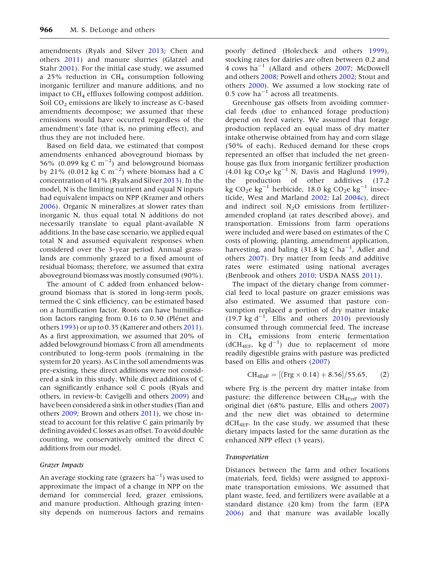<span id="page-4-0"></span>amendments (Ryals and Silver [2013](#page-16-0); Chen and others [2011](#page-14-0)) and manure slurries (Glatzel and Stahr [2001\)](#page-15-0). For the initial case study, we assumed a 25% reduction in  $CH<sub>4</sub>$  consumption following inorganic fertilizer and manure additions, and no impact to  $CH<sub>4</sub>$  effluxes following compost addition. Soil  $CO<sub>2</sub>$  emissions are likely to increase as C-based amendments decompose; we assumed that these emissions would have occurred regardless of the amendment's fate (that is, no priming effect), and thus they are not included here.

Based on field data, we estimated that compost amendments enhanced aboveground biomass by 56% (0.099 kg C  $\text{m}^{-2}$ ) and belowground biomass by 21% (0.012 kg C m<sup>-2</sup>) where biomass had a C concentration of 41% (Ryals and Silver [2013](#page-16-0)). In the model, N is the limiting nutrient and equal N inputs had equivalent impacts on NPP (Kramer and others [2006\)](#page-15-0). Organic N mineralizes at slower rates than inorganic N, thus equal total N additions do not necessarily translate to equal plant-available N additions. In the base case scenario, we applied equal total N and assumed equivalent responses when considered over the 3-year period. Annual grasslands are commonly grazed to a fixed amount of residual biomass; therefore, we assumed that extra aboveground biomass was mostly consumed (90%).

The amount of C added from enhanced belowground biomass that is stored in long-term pools, termed the C sink efficiency, can be estimated based on a humification factor. Roots can have humification factors ranging from  $0.16$  to  $0.30$  (Plénet and others [1993](#page-16-0)) or up to 0.35 (Katterer and others [2011\)](#page-15-0). As a first approximation, we assumed that 20% of added belowground biomass C from all amendments contributed to long-term pools (remaining in the system for 20 years). As C in the soil amendments was pre-existing, these direct additions were not considered a sink in this study. While direct additions of C can significantly enhance soil C pools (Ryals and others, in review-b; Cavigelli and others [2009](#page-14-0)) and have been considered a sink in other studies (Tian and others [2009;](#page-16-0) Brown and others [2011](#page-14-0)), we chose instead to account for this relative C gain primarily by defining avoided C losses as an offset. To avoid double counting, we conservatively omitted the direct C additions from our model.

### Grazer Impacts

An average stocking rate (grazers  $\mathrm{ha}^{-1}$ ) was used to approximate the impact of a change in NPP on the demand for commercial feed, grazer emissions, and manure production. Although grazing intensity depends on numerous factors and remains

poorly defined (Holecheck and others [1999](#page-15-0)), stocking rates for dairies are often between 0.2 and 4 cows ha<sup>-1</sup> (Allard and others  $2007$ ; McDowell and others [2008;](#page-16-0) Powell and others [2002](#page-16-0); Stout and others [2000\)](#page-16-0). We assumed a low stocking rate of 0.5 cow  $ha^{-1}$  across all treatments.

Greenhouse gas offsets from avoiding commercial feeds (due to enhanced forage production) depend on feed variety. We assumed that forage production replaced an equal mass of dry matter intake otherwise obtained from hay and corn silage (50% of each). Reduced demand for these crops represented an offset that included the net greenhouse gas flux from inorganic fertilizer production  $(4.01 \text{ kg } CO_2 \text{e kg}^{-1} \text{ N}$ , Davis and Haglund [1999](#page-14-0)), the production of other additives (17.2 kg CO<sub>2</sub>e kg<sup>-1</sup> herbicide, 18.0 kg CO<sub>2</sub>e kg<sup>-1</sup> insecticide, West and Marland [2002](#page-17-0); Lal [2004c\)](#page-15-0), direct and indirect soil  $N_2O$  emissions from fertilizeramended cropland (at rates described above), and transportation. Emissions from farm operations were included and were based on estimates of the C costs of plowing, planting, amendment application, harvesting, and baling  $(31.8 \text{ kg C ha}^{-1})$ . Adler and others [2007\)](#page-14-0). Dry matter from feeds and additive rates were estimated using national averages (Benbrook and others [2010;](#page-14-0) USDA NASS [2011\)](#page-16-0).

The impact of the dietary change from commercial feed to local pasture on grazer emissions was also estimated. We assumed that pasture consumption replaced a portion of dry matter intake  $(19.7 \text{ kg d}^{-1})$ . Ellis and others [2010](#page-15-0)) previously consumed through commercial feed. The increase in CH4 emissions from enteric fermentation  $(dCH_{4EF}$ , kg d<sup>-1</sup>) due to replacement of more readily digestible grains with pasture was predicted based on Ellis and others [\(2007\)](#page-15-0)

$$
CH_{4EnF} = [(Frg \times 0.14) + 8.56]/55.65, (2)
$$

where Frg is the percent dry matter intake from pasture; the difference between  $CH_{4EnF}$  with the original diet (68% pasture, Ellis and others [2007](#page-15-0)) and the new diet was obtained to determine  $dCH_{4EF}$ . In the case study, we assumed that these dietary impacts lasted for the same duration as the enhanced NPP effect (3 years).

#### Transportation

Distances between the farm and other locations (materials, feed, fields) were assigned to approximate transportation emissions. We assumed that plant waste, feed, and fertilizers were available at a standard distance (20 km) from the farm (EPA [2006\)](#page-15-0) and that manure was available locally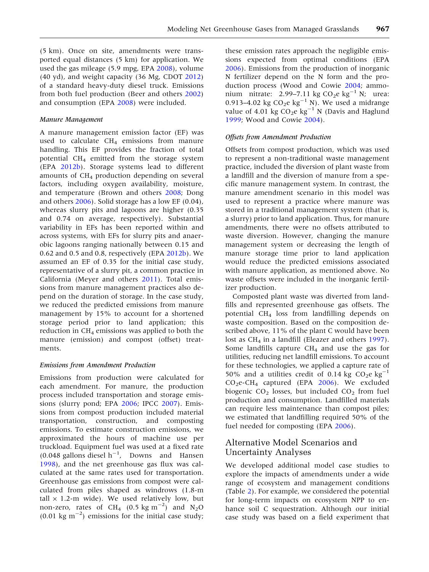(5 km). Once on site, amendments were transported equal distances (5 km) for application. We used the gas mileage (5.9 mpg, EPA [2008\)](#page-15-0), volume (40 yd), and weight capacity (36 Mg, CDOT [2012](#page-14-0)) of a standard heavy-duty diesel truck. Emissions from both fuel production (Beer and others [2002](#page-14-0)) and consumption (EPA [2008](#page-15-0)) were included.

### Manure Management

A manure management emission factor (EF) was used to calculate  $CH<sub>4</sub>$  emissions from manure handling. This EF provides the fraction of total potential CH4 emitted from the storage system (EPA [2012b](#page-15-0)). Storage systems lead to different amounts of  $CH<sub>4</sub>$  production depending on several factors, including oxygen availability, moisture, and temperature (Brown and others [2008;](#page-14-0) Dong and others [2006](#page-15-0)). Solid storage has a low EF (0.04), whereas slurry pits and lagoons are higher (0.35 and 0.74 on average, respectively). Substantial variability in EFs has been reported within and across systems, with EFs for slurry pits and anaerobic lagoons ranging nationally between 0.15 and 0.62 and 0.5 and 0.8, respectively (EPA [2012b\)](#page-15-0). We assumed an EF of 0.35 for the initial case study, representative of a slurry pit, a common practice in California (Meyer and others [2011](#page-16-0)). Total emissions from manure management practices also depend on the duration of storage. In the case study, we reduced the predicted emissions from manure management by 15% to account for a shortened storage period prior to land application; this reduction in  $CH_4$  emissions was applied to both the manure (emission) and compost (offset) treatments.

## Emissions from Amendment Production

Emissions from production were calculated for each amendment. For manure, the production process included transportation and storage emissions (slurry pond; EPA [2006](#page-15-0); IPCC [2007\)](#page-15-0). Emissions from compost production included material transportation, construction, and composting emissions. To estimate construction emissions, we approximated the hours of machine use per truckload. Equipment fuel was used at a fixed rate  $(0.048 \text{ gallons diesel h}^{-1}$ , Downs and Hansen [1998\)](#page-15-0), and the net greenhouse gas flux was calculated at the same rates used for transportation. Greenhouse gas emissions from compost were calculated from piles shaped as windrows (1.8-m tall  $\times$  1.2-m wide). We used relatively low, but non-zero, rates of CH<sub>4</sub> (0.5 kg m<sup>-2</sup>) and N<sub>2</sub>O  $(0.01 \text{ kg m}^{-2})$  emissions for the initial case study;

these emission rates approach the negligible emissions expected from optimal conditions (EPA [2006\)](#page-15-0). Emissions from the production of inorganic N fertilizer depend on the N form and the production process (Wood and Cowie [2004](#page-17-0); ammonium nitrate: 2.99–7.11 kg  $CO_2e$  kg<sup>-1</sup> N; urea: 0.913–4.02 kg  $CO_2e$  kg<sup>-1</sup> N). We used a midrange value of 4.01 kg  $CO_2e$  kg<sup>-1</sup> N (Davis and Haglund [1999;](#page-14-0) Wood and Cowie [2004](#page-17-0)).

#### Offsets from Amendment Production

Offsets from compost production, which was used to represent a non-traditional waste management practice, included the diversion of plant waste from a landfill and the diversion of manure from a specific manure management system. In contrast, the manure amendment scenario in this model was used to represent a practice where manure was stored in a traditional management system (that is, a slurry) prior to land application. Thus, for manure amendments, there were no offsets attributed to waste diversion. However, changing the manure management system or decreasing the length of manure storage time prior to land application would reduce the predicted emissions associated with manure application, as mentioned above. No waste offsets were included in the inorganic fertilizer production.

Composted plant waste was diverted from landfills and represented greenhouse gas offsets. The potential CH4 loss from landfilling depends on waste composition. Based on the composition described above, 11% of the plant C would have been lost as  $CH_4$  in a landfill (Eleazer and others [1997](#page-15-0)). Some landfills capture  $CH<sub>4</sub>$  and use the gas for utilities, reducing net landfill emissions. To account for these technologies, we applied a capture rate of 50% and a utilities credit of 0.14 kg  $CO_2e$  kg<sup>-1</sup>  $CO<sub>2</sub>e-CH<sub>4</sub>$  captured (EPA [2006\)](#page-15-0). We excluded biogenic  $CO<sub>2</sub>$  losses, but included  $CO<sub>2</sub>$  from fuel production and consumption. Landfilled materials can require less maintenance than compost piles; we estimated that landfilling required 50% of the fuel needed for composting (EPA [2006\)](#page-15-0).

# Alternative Model Scenarios and Uncertainty Analyses

We developed additional model case studies to explore the impacts of amendments under a wide range of ecosystem and management conditions (Table [2](#page-6-0)). For example, we considered the potential for long-term impacts on ecosystem NPP to enhance soil C sequestration. Although our initial case study was based on a field experiment that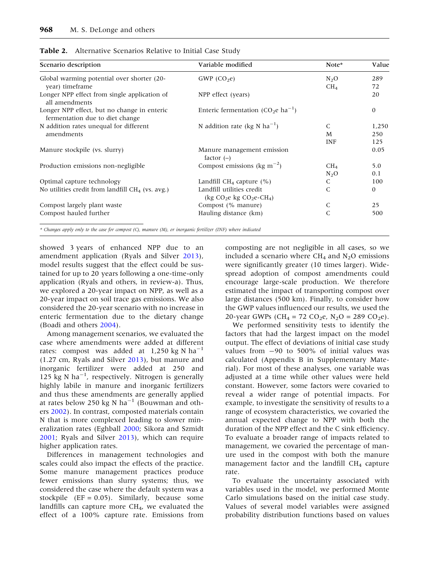| Scenario description                                                           | Variable modified                                          | Note*           | Value        |  |
|--------------------------------------------------------------------------------|------------------------------------------------------------|-----------------|--------------|--|
| Global warming potential over shorter (20-                                     | GWP $(CO2e)$                                               | $N_2O$          | 289          |  |
| year) timeframe                                                                |                                                            | CH <sub>4</sub> | 72           |  |
| Longer NPP effect from single application of<br>all amendments                 | NPP effect (years)                                         |                 | 20           |  |
| Longer NPP effect, but no change in enteric<br>fermentation due to diet change | Enteric fermentation (CO <sub>2</sub> e ha <sup>-1</sup> ) |                 | $\mathbf{0}$ |  |
| N addition rates unequal for different<br>amendments                           | N addition rate (kg N $ha^{-1}$ )                          | C               | 1,250        |  |
|                                                                                |                                                            | M               | 250          |  |
|                                                                                |                                                            | INF             | 125          |  |
| Manure stockpile (vs. slurry)                                                  | Manure management emission<br>factor $(-)$                 |                 | 0.05         |  |
| Production emissions non-negligible                                            | Compost emissions (kg m <sup><math>-2</math></sup> )       | CH <sub>4</sub> | 5.0          |  |
|                                                                                |                                                            | $N_2O$          | 0.1          |  |
| Optimal capture technology                                                     | Landfill $CH_4$ capture (%)                                | C               | 100          |  |
| No utilities credit from landfill $CH4$ (vs. avg.)                             | Landfill utilities credit<br>(kg $CO2e$ kg $CO2e-CH4$ )    |                 | 0            |  |
| Compost largely plant waste                                                    | Compost (% manure)                                         | C               | 25           |  |
| Compost hauled further                                                         | Hauling distance (km)                                      | C               | 500          |  |

<span id="page-6-0"></span>Table 2. Alternative Scenarios Relative to Initial Case Study

\* Changes apply only to the case for compost (C), manure (M), or inorganic fertilizer (INF) where indicated

showed 3 years of enhanced NPP due to an amendment application (Ryals and Silver [2013](#page-16-0)), model results suggest that the effect could be sustained for up to 20 years following a one-time-only application (Ryals and others, in review-a). Thus, we explored a 20-year impact on NPP, as well as a 20-year impact on soil trace gas emissions. We also considered the 20-year scenario with no increase in enteric fermentation due to the dietary change (Boadi and others [2004\)](#page-14-0).

Among management scenarios, we evaluated the case where amendments were added at different rates: compost was added at  $1,250$  kg N ha<sup>-1</sup> (1.27 cm, Ryals and Silver [2013\)](#page-16-0), but manure and inorganic fertilizer were added at 250 and 125 kg N ha<sup>-1</sup>, respectively. Nitrogen is generally highly labile in manure and inorganic fertilizers and thus these amendments are generally applied at rates below 250 kg N ha<sup>-1</sup> (Bouwman and others [2002](#page-14-0)). In contrast, composted materials contain N that is more complexed leading to slower mineralization rates (Eghball [2000;](#page-15-0) Sikora and Szmidt [2001;](#page-16-0) Ryals and Silver [2013](#page-16-0)), which can require higher application rates.

Differences in management technologies and scales could also impact the effects of the practice. Some manure management practices produce fewer emissions than slurry systems; thus, we considered the case where the default system was a stockpile  $(EF = 0.05)$ . Similarly, because some landfills can capture more  $CH<sub>4</sub>$ , we evaluated the effect of a 100% capture rate. Emissions from

composting are not negligible in all cases, so we included a scenario where  $CH_4$  and  $N_2O$  emissions were significantly greater (10 times larger). Widespread adoption of compost amendments could encourage large-scale production. We therefore estimated the impact of transporting compost over large distances (500 km). Finally, to consider how the GWP values influenced our results, we used the 20-year GWPs (CH<sub>4</sub> = 72 CO<sub>2</sub>e, N<sub>2</sub>O = 289 CO<sub>2</sub>e).

We performed sensitivity tests to identify the factors that had the largest impact on the model output. The effect of deviations of initial case study values from  $-90$  to 500% of initial values was calculated (Appendix B in Supplementary Material). For most of these analyses, one variable was adjusted at a time while other values were held constant. However, some factors were covaried to reveal a wider range of potential impacts. For example, to investigate the sensitivity of results to a range of ecosystem characteristics, we covaried the annual expected change to NPP with both the duration of the NPP effect and the C sink efficiency. To evaluate a broader range of impacts related to management, we covaried the percentage of manure used in the compost with both the manure management factor and the landfill  $CH<sub>4</sub>$  capture rate.

To evaluate the uncertainty associated with variables used in the model, we performed Monte Carlo simulations based on the initial case study. Values of several model variables were assigned probability distribution functions based on values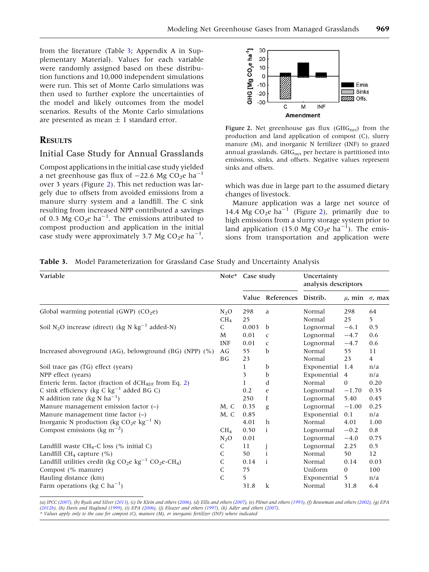<span id="page-7-0"></span>from the literature (Table 3; Appendix A in Supplementary Material). Values for each variable were randomly assigned based on these distribution functions and 10,000 independent simulations were run. This set of Monte Carlo simulations was then used to further explore the uncertainties of the model and likely outcomes from the model scenarios. Results of the Monte Carlo simulations are presented as mean  $\pm$  1 standard error.

# **RESULTS**

## Initial Case Study for Annual Grasslands

Compost applications in the initial case study yielded a net greenhouse gas flux of  $-22.6$  Mg CO<sub>2</sub>e ha<sup>-1</sup> over 3 years (Figure 2). This net reduction was largely due to offsets from avoided emissions from a manure slurry system and a landfill. The C sink resulting from increased NPP contributed a savings of 0.3 Mg  $CO_2e$  ha<sup>-1</sup>. The emissions attributed to compost production and application in the initial case study were approximately 3.7 Mg  $CO_2e$  ha<sup>-1</sup>,



Figure 2. Net greenhouse gas flux ( $GHG_{net}$ ) from the production and land application of compost (C), slurry manure (M), and inorganic N fertilizer (INF) to grazed annual grasslands.  $GHG_{net}$  per hectare is partitioned into emissions, sinks, and offsets. Negative values represent sinks and offsets.

which was due in large part to the assumed dietary changes of livestock.

Manure application was a large net source of 14.4 Mg  $CO<sub>2</sub>e$  ha<sup>-1</sup> (Figure 2), primarily due to high emissions from a slurry storage system prior to land application (15.0 Mg  $CO_2e$  ha<sup>-1</sup>). The emissions from transportation and application were

Table 3. Model Parameterization for Grassland Case Study and Uncertainty Analysis

| Variable                                                                                             |                 | Case study |                           | Uncertainty<br>analysis descriptors |                |                            |
|------------------------------------------------------------------------------------------------------|-----------------|------------|---------------------------|-------------------------------------|----------------|----------------------------|
|                                                                                                      |                 |            | Value References Distrib. |                                     |                | $\mu$ , min $\sigma$ , max |
| Global warming potential (GWP) $(CO_2e)$                                                             | $N_2O$          | 298        | a                         | Normal                              | 298            | 64                         |
|                                                                                                      | CH <sub>4</sub> | 25         |                           | Normal                              | 25             | 5.                         |
| Soil N <sub>2</sub> O increase (direct) (kg N kg <sup>-1</sup> added-N)                              |                 | 0.003      | b                         | Lognormal                           | $-6.1$         | 0.5                        |
|                                                                                                      |                 | 0.01       | $\mathsf{C}$              | Lognormal                           | $-4.7$         | 0.6                        |
|                                                                                                      | <b>INF</b>      | 0.01       | $\mathsf{C}$              | Lognormal                           | $-4.7$         | 0.6                        |
| Increased aboveground (AG), belowground (BG) (NPP) (%)                                               | AG              | 55         | b                         | Normal                              | 55             | 11                         |
|                                                                                                      | BG              | 23         |                           | Normal                              | 23             | $\overline{4}$             |
| Soil trace gas (TG) effect (years)                                                                   |                 | 1          | b                         | Exponential                         | 1.4            | n/a                        |
| NPP effect (years)                                                                                   |                 | 3          | $\mathbf b$               | Exponential                         | $\overline{4}$ | n/a                        |
| Enteric ferm. factor (fraction of $dCH_{4EF}$ from Eq. 2)                                            |                 |            | d                         | Normal                              | $\mathbf{0}$   | 0.20                       |
| C sink efficiency (kg C $kg^{-1}$ added BG C)                                                        |                 | 0.2        | e                         | Lognormal                           | $-1.70$        | 0.35                       |
| N addition rate (kg N ha <sup>-1</sup> )                                                             |                 | 250        | f                         | Lognormal                           | 5.40           | 0.45                       |
| Manure management emission factor $(-)$                                                              | M, C            | 0.35       | g                         | Lognormal                           | $-1.00$        | 0.25                       |
| Manure management time factor $(-)$                                                                  | M, C            | 0.85       |                           | Exponential                         | 0.1            | n/a                        |
| Inorganic N production (kg $CO_2e$ kg <sup>-1</sup> N)                                               |                 | 4.01       | $\mathbf h$               | Normal                              | 4.01           | 1.00                       |
| Compost emissions (kg m <sup><math>-2</math></sup> )                                                 | CH <sub>4</sub> | 0.50       | i                         | Lognormal                           | $-0.2$         | 0.8                        |
|                                                                                                      | $N_2O$          | 0.01       |                           | Lognormal                           | $-4.0$         | 0.75                       |
| Landfill waste $CH_4$ -C loss (% initial C)                                                          | $\mathsf C$     | 11         |                           | Lognormal                           | 2.25           | 0.5                        |
| Landfill $CH_4$ capture $(\% )$                                                                      | C               | 50         | i                         | Normal                              | 50             | 12                         |
| Landfill utilities credit (kg CO <sub>2</sub> e kg <sup>-1</sup> CO <sub>2</sub> e-CH <sub>4</sub> ) | C               | 0.14       | i                         | Normal                              | 0.14           | 0.03                       |
| Compost (% manure)                                                                                   | $\mathsf C$     | 75         |                           | Uniform                             | $\mathbf{0}$   | 100                        |
| Hauling distance (km)                                                                                | $\mathsf{C}$    | 5          |                           | Exponential                         | 5              | n/a                        |
| Farm operations (kg C ha <sup>-1</sup> )                                                             |                 | 31.8       | $\mathbf k$               | Normal                              | 31.8           | 6.4                        |

(a) IPCC ([2007](#page-15-0)), (b) Ryals and Silver [\(2013](#page-16-0)), (c) De Klein and others [\(2006](#page-14-0)), (d) Ellis and others [\(2007](#page-15-0)), (e) Plénet and others [\(1993](#page-16-0)), (f) Bouwman and others [\(2002](#page-14-0)), (g) EPA [\(2012b\)](#page-15-0), (h) Davis and Haglund [\(1999](#page-14-0)), (i) EPA [\(2006](#page-15-0)), (j) Eleazer and others ([1997\)](#page-15-0), (k) Adler and others [\(2007\)](#page-14-0). \* Values apply only to the case for compost (C), manure (M), or inorganic fertilizer (INF) where indicated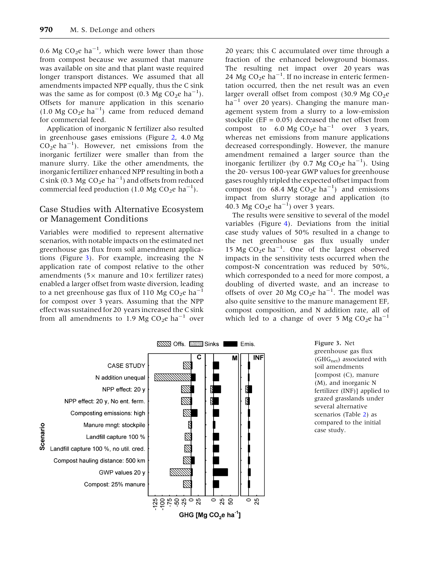0.6 Mg  $CO_2e$  ha<sup>-1</sup>, which were lower than those from compost because we assumed that manure was available on site and that plant waste required longer transport distances. We assumed that all amendments impacted NPP equally, thus the C sink was the same as for compost  $(0.3 \text{ Mg } CO_2 \text{e } \text{ha}^{-1})$ . Offsets for manure application in this scenario  $(1.0 \text{ Mg } CO_2 \text{e } \text{ha}^{-1})$  came from reduced demand for commercial feed.

Application of inorganic N fertilizer also resulted in greenhouse gases emissions (Figure [2](#page-7-0), 4.0 Mg  $CO<sub>2</sub>e$  ha<sup>-1</sup>). However, net emissions from the inorganic fertilizer were smaller than from the manure slurry. Like the other amendments, the inorganic fertilizer enhanced NPP resulting in both a C sink (0.3 Mg  $CO<sub>2</sub>e$  ha<sup>-1</sup>) and offsets from reduced commercial feed production (1.0 Mg CO<sub>2</sub>e ha<sup>-1</sup>).

## Case Studies with Alternative Ecosystem or Management Conditions

Variables were modified to represent alternative scenarios, with notable impacts on the estimated net greenhouse gas flux from soil amendment applications (Figure 3). For example, increasing the N application rate of compost relative to the other amendments (5 $\times$  manure and 10 $\times$  fertilizer rates) enabled a larger offset from waste diversion, leading to a net greenhouse gas flux of 110 Mg  $CO_2e$  ha<sup>-1</sup> for compost over 3 years. Assuming that the NPP effect was sustained for 20 years increased the C sink from all amendments to 1.9 Mg  $CO<sub>2</sub>e$  ha<sup>-1</sup> over

20 years; this C accumulated over time through a fraction of the enhanced belowground biomass. The resulting net impact over 20 years was 24 Mg  $CO<sub>2</sub>e$  ha<sup>-1</sup>. If no increase in enteric fermentation occurred, then the net result was an even larger overall offset from compost (30.9 Mg  $CO<sub>2</sub>e$  $ha^{-1}$  over 20 years). Changing the manure management system from a slurry to a low-emission stockpile ( $EF = 0.05$ ) decreased the net offset from compost to 6.0 Mg  $CO<sub>2</sub>e$  ha<sup>-1</sup> over 3 years, whereas net emissions from manure applications decreased correspondingly. However, the manure amendment remained a larger source than the inorganic fertilizer (by 0.7 Mg CO<sub>2</sub>e ha<sup>-1</sup>). Using the 20- versus 100-year GWP values for greenhouse gases roughly tripled the expected offset impact from compost (to  $68.4 \text{ Mg } CO_2$ e ha<sup>-1</sup>) and emissions impact from slurry storage and application (to 40.3 Mg CO<sub>2</sub>e ha<sup>-1</sup>) over 3 years.

The results were sensitive to several of the model variables (Figure [4](#page-9-0)). Deviations from the initial case study values of 50% resulted in a change to the net greenhouse gas flux usually under 15 Mg CO<sub>2</sub>e ha<sup>-1</sup>. One of the largest observed impacts in the sensitivity tests occurred when the compost-N concentration was reduced by 50%, which corresponded to a need for more compost, a doubling of diverted waste, and an increase to offsets of over 20 Mg  $CO<sub>2</sub>e$  ha<sup>-1</sup>. The model was also quite sensitive to the manure management EF, compost composition, and N addition rate, all of which led to a change of over 5 Mg  $CO<sub>2</sub>e$  ha<sup>-1</sup>



Figure 3. Net greenhouse gas flux  $(GHG_{net})$  associated with soil amendments [compost (C), manure (M), and inorganic N fertilizer (INF)] applied to grazed grasslands under several alternative scenarios (Table [2](#page-6-0)) as compared to the initial case study.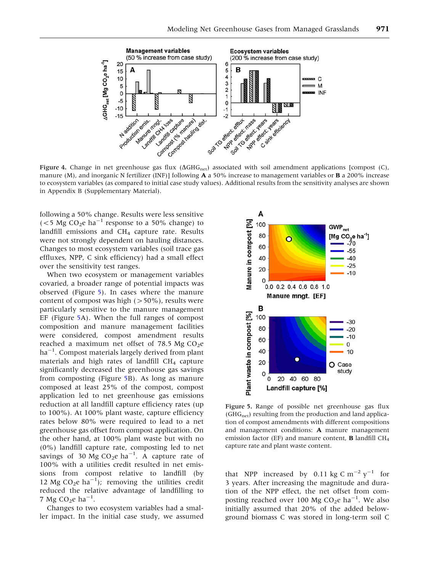<span id="page-9-0"></span>

Figure 4. Change in net greenhouse gas flux  $(\Delta GHG_{net})$  associated with soil amendment applications [compost (C), manure (M), and inorganic N fertilizer (INF)] following **A** a 50% increase to management variables or **B** a 200% increase to ecosystem variables (as compared to initial case study values). Additional results from the sensitivity analyses are shown in Appendix B (Supplementary Material).

following a 50% change. Results were less sensitive ( $<$ 5 Mg CO<sub>2</sub>e ha<sup>-1</sup> response to a 50% change) to landfill emissions and CH<sub>4</sub> capture rate. Results were not strongly dependent on hauling distances. Changes to most ecosystem variables (soil trace gas effluxes, NPP, C sink efficiency) had a small effect over the sensitivity test ranges.

When two ecosystem or management variables covaried, a broader range of potential impacts was observed (Figure 5). In cases where the manure content of compost was high  $(>50\%)$ , results were particularly sensitive to the manure management EF (Figure 5A). When the full ranges of compost composition and manure management facilities were considered, compost amendment results reached a maximum net offset of 78.5 Mg  $CO<sub>2</sub>e$ ha<sup>-1</sup>. Compost materials largely derived from plant materials and high rates of landfill  $CH<sub>4</sub>$  capture significantly decreased the greenhouse gas savings from composting (Figure 5B). As long as manure composed at least 25% of the compost, compost application led to net greenhouse gas emissions reduction at all landfill capture efficiency rates (up to 100%). At 100% plant waste, capture efficiency rates below 80% were required to lead to a net greenhouse gas offset from compost application. On the other hand, at 100% plant waste but with no (0%) landfill capture rate, composting led to net savings of 30  $\text{Mg CO}_2$ e ha<sup>-1</sup>. A capture rate of 100% with a utilities credit resulted in net emissions from compost relative to landfill (by 12 Mg CO<sub>2</sub>e ha<sup>-1</sup>); removing the utilities credit reduced the relative advantage of landfilling to 7 Mg CO<sub>2</sub>e ha<sup>-1</sup>.

Changes to two ecosystem variables had a smaller impact. In the initial case study, we assumed



Figure 5. Range of possible net greenhouse gas flux (GHG<sub>net</sub>) resulting from the production and land application of compost amendments with different compositions and management conditions: A manure management emission factor (EF) and manure content, **B** landfill  $CH<sub>4</sub>$ capture rate and plant waste content.

that NPP increased by 0.11 kg C  $\text{m}^{-2} \text{ y}^{-1}$  for 3 years. After increasing the magnitude and duration of the NPP effect, the net offset from composting reached over 100 Mg CO<sub>2</sub>e ha<sup>-1</sup>. We also initially assumed that 20% of the added belowground biomass C was stored in long-term soil C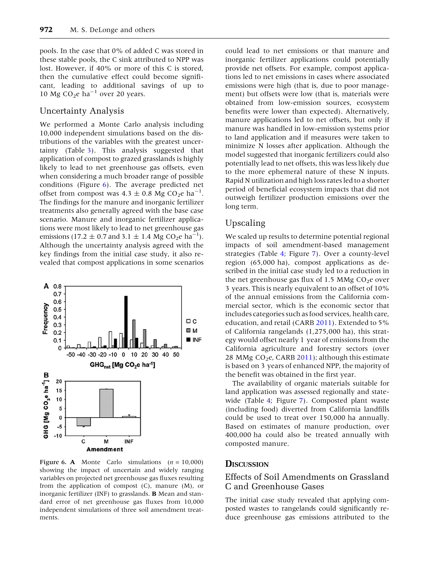pools. In the case that 0% of added C was stored in these stable pools, the C sink attributed to NPP was lost. However, if 40% or more of this C is stored, then the cumulative effect could become significant, leading to additional savings of up to 10 Mg CO<sub>2</sub>e ha<sup>-1</sup> over 20 years.

# Uncertainty Analysis

We performed a Monte Carlo analysis including 10,000 independent simulations based on the distributions of the variables with the greatest uncertainty (Table [3](#page-7-0)). This analysis suggested that application of compost to grazed grasslands is highly likely to lead to net greenhouse gas offsets, even when considering a much broader range of possible conditions (Figure 6). The average predicted net offset from compost was  $4.3 \pm 0.8$  Mg CO<sub>2</sub>e ha<sup>-1</sup>. The findings for the manure and inorganic fertilizer treatments also generally agreed with the base case scenario. Manure and inorganic fertilizer applications were most likely to lead to net greenhouse gas emissions (17.2  $\pm$  0.7 and 3.1  $\pm$  1.4 Mg CO<sub>2</sub>e ha<sup>-1</sup>). Although the uncertainty analysis agreed with the key findings from the initial case study, it also revealed that compost applications in some scenarios

![](_page_10_Figure_4.jpeg)

Figure 6. A Monte Carlo simulations  $(n = 10,000)$ showing the impact of uncertain and widely ranging variables on projected net greenhouse gas fluxes resulting from the application of compost  $(C)$ , manure  $(M)$ , or inorganic fertilizer (INF) to grasslands. B Mean and standard error of net greenhouse gas fluxes from 10,000 independent simulations of three soil amendment treatments.

could lead to net emissions or that manure and inorganic fertilizer applications could potentially provide net offsets. For example, compost applications led to net emissions in cases where associated emissions were high (that is, due to poor management) but offsets were low (that is, materials were obtained from low-emission sources, ecosystem benefits were lower than expected). Alternatively, manure applications led to net offsets, but only if manure was handled in low-emission systems prior to land application and if measures were taken to minimize N losses after application. Although the model suggested that inorganic fertilizers could also potentially lead to net offsets, this was less likely due to the more ephemeral nature of these N inputs. Rapid N utilization and high loss rates led to a shorter period of beneficial ecosystem impacts that did not outweigh fertilizer production emissions over the long term.

## Upscaling

We scaled up results to determine potential regional impacts of soil amendment-based management strategies (Table [4](#page-11-0); Figure [7](#page-11-0)). Over a county-level region (65,000 ha), compost applications as described in the initial case study led to a reduction in the net greenhouse gas flux of 1.5 MMg  $CO<sub>2</sub>e$  over 3 years. This is nearly equivalent to an offset of 10% of the annual emissions from the California commercial sector, which is the economic sector that includes categories such as food services, health care, education, and retail (CARB [2011\)](#page-14-0). Extended to 5% of California rangelands (1,275,000 ha), this strategy would offset nearly 1 year of emissions from the California agriculture and forestry sectors (over 28 MMg  $CO<sub>2</sub>e$ , CARB [2011\)](#page-14-0); although this estimate is based on 3 years of enhanced NPP, the majority of the benefit was obtained in the first year.

The availability of organic materials suitable for land application was assessed regionally and statewide (Table [4;](#page-11-0) Figure [7\)](#page-11-0). Composted plant waste (including food) diverted from California landfills could be used to treat over 150,000 ha annually. Based on estimates of manure production, over 400,000 ha could also be treated annually with composted manure.

# **DISCUSSION**

# Effects of Soil Amendments on Grassland C and Greenhouse Gases

The initial case study revealed that applying composted wastes to rangelands could significantly reduce greenhouse gas emissions attributed to the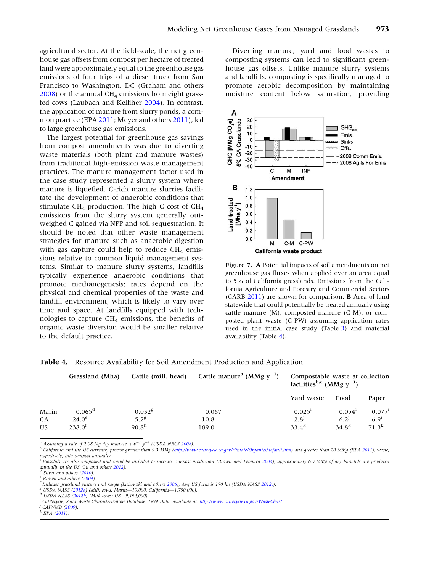<span id="page-11-0"></span>agricultural sector. At the field-scale, the net greenhouse gas offsets from compost per hectare of treated land were approximately equal to the greenhouse gas emissions of four trips of a diesel truck from San Francisco to Washington, DC (Graham and others  $2008$ ) or the annual CH<sub>4</sub> emissions from eight grassfed cows (Laubach and Kelliher [2004\)](#page-15-0). In contrast, the application of manure from slurry ponds, a common practice (EPA [2011;](#page-15-0) Meyer and others [2011\)](#page-16-0), led to large greenhouse gas emissions.

The largest potential for greenhouse gas savings from compost amendments was due to diverting waste materials (both plant and manure wastes) from traditional high-emission waste management practices. The manure management factor used in the case study represented a slurry system where manure is liquefied. C-rich manure slurries facilitate the development of anaerobic conditions that stimulate  $CH_4$  production. The high C cost of  $CH_4$ emissions from the slurry system generally outweighed C gained via NPP and soil sequestration. It should be noted that other waste management strategies for manure such as anaerobic digestion with gas capture could help to reduce  $CH_4$  emissions relative to common liquid management systems. Similar to manure slurry systems, landfills typically experience anaerobic conditions that promote methanogenesis; rates depend on the physical and chemical properties of the waste and landfill environment, which is likely to vary over time and space. At landfills equipped with technologies to capture  $CH<sub>4</sub>$  emissions, the benefits of organic waste diversion would be smaller relative to the default practice.

Diverting manure, yard and food wastes to composting systems can lead to significant greenhouse gas offsets. Unlike manure slurry systems and landfills, composting is specifically managed to promote aerobic decomposition by maintaining moisture content below saturation, providing

![](_page_11_Figure_4.jpeg)

Figure 7. A Potential impacts of soil amendments on net greenhouse gas fluxes when applied over an area equal to 5% of California grasslands. Emissions from the California Agriculture and Forestry and Commercial Sectors (CARB [2011](#page-14-0)) are shown for comparison. B Area of land statewide that could potentially be treated annually using cattle manure (M), composted manure (C-M), or composted plant waste (C-PW) assuming application rates used in the initial case study (Table [3](#page-7-0)) and material availability (Table 4).

|           | Grassland (Mha)                 | Cattle manure <sup>a</sup> (MMg $y^{-1}$ )<br>Cattle (mill. head) |               | Compostable waste at collection<br>facilities <sup>b,c</sup> (MMg $y^{-1}$ ) |                                 |                                          |
|-----------|---------------------------------|-------------------------------------------------------------------|---------------|------------------------------------------------------------------------------|---------------------------------|------------------------------------------|
|           |                                 |                                                                   | Yard waste    | Food                                                                         | Paper                           |                                          |
| Marin     | $0.065^{\rm d}$<br>$24.0^\circ$ | 0.032 <sup>g</sup><br>$5.2^8$                                     | 0.067<br>10.8 | 0.025 <sup>1</sup><br>$2.8^{J}$                                              | 0.054 <sup>1</sup><br>$6.2^{j}$ | $0.077$ <sup>1</sup><br>6.9 <sup>j</sup> |
| CA<br>US. | $238.0^{1}$                     | 90.8 <sup>h</sup>                                                 | 189.0         | $33.4^{k}$                                                                   | $34.8^{k}$                      | $71.3^{k}$                               |

Table 4. Resource Availability for Soil Amendment Production and Application

<sup>a</sup> Assuming a rate of 2.08 Mg dry manure cow<sup>-1</sup>  $y^{-1}$  (USDA NRCS 2008).

California and the US currently process greater than 9.3 MMg (<http://www.calrecycle.ca.gov/climate/Organics/default.htm>) and greater than 20 MMg (EPA [2011\)](#page-15-0), waste, respectively, into compost annually.

<sup>&</sup>lt;sup>c</sup> Biosolids are also composted and could be included to increase compost production (Brown and Leonard [2004](#page-14-0)); approximately 6.5 MMg of dry biosolids are produced<br>annually in the US (Lu and others 2012).

<sup>&</sup>lt;sup>d</sup> Silver and others (2010).<br>
<sup>e</sup> Brown and others (2004).<br>
<sup>f</sup> Includes grassland pasture and range (Lubowski and others 2006); Avg US farm is 170 ha (USDA NASS [2012](#page-16-0)c).<br>
<sup>g</sup> USDA NASS [\(2012a](#page-16-0)) (Milk cows: Marin—10,000, C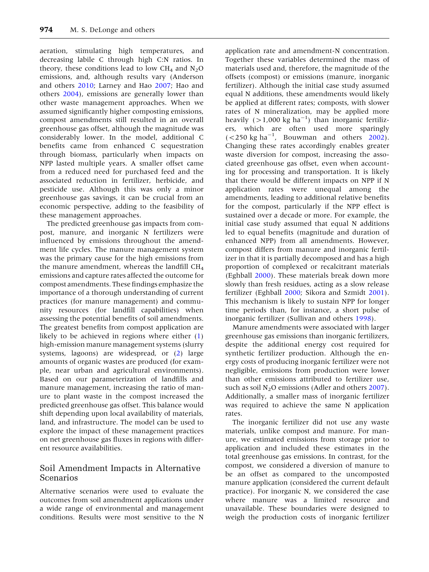aeration, stimulating high temperatures, and decreasing labile C through high C:N ratios. In theory, these conditions lead to low  $CH_4$  and  $N_2O$ emissions, and, although results vary (Anderson and others [2010;](#page-14-0) Larney and Hao [2007;](#page-15-0) Hao and others [2004](#page-15-0)), emissions are generally lower than other waste management approaches. When we assumed significantly higher composting emissions, compost amendments still resulted in an overall greenhouse gas offset, although the magnitude was considerably lower. In the model, additional C benefits came from enhanced C sequestration through biomass, particularly when impacts on NPP lasted multiple years. A smaller offset came from a reduced need for purchased feed and the associated reduction in fertilizer, herbicide, and pesticide use. Although this was only a minor greenhouse gas savings, it can be crucial from an economic perspective, adding to the feasibility of these management approaches.

The predicted greenhouse gas impacts from compost, manure, and inorganic N fertilizers were influenced by emissions throughout the amendment life cycles. The manure management system was the primary cause for the high emissions from the manure amendment, whereas the landfill  $CH<sub>4</sub>$ emissions and capture rates affected the outcome for compost amendments. These findings emphasize the importance of a thorough understanding of current practices (for manure management) and community resources (for landfill capabilities) when assessing the potential benefits of soil amendments. The greatest benefits from compost application are likely to be achieved in regions where either ([1](#page-2-0)) high-emission manure management systems (slurry systems, lagoons) are widespread, or [\(2\)](#page-4-0) large amounts of organic wastes are produced (for example, near urban and agricultural environments). Based on our parameterization of landfills and manure management, increasing the ratio of manure to plant waste in the compost increased the predicted greenhouse gas offset. This balance would shift depending upon local availability of materials, land, and infrastructure. The model can be used to explore the impact of these management practices on net greenhouse gas fluxes in regions with different resource availabilities.

# Soil Amendment Impacts in Alternative Scenarios

Alternative scenarios were used to evaluate the outcomes from soil amendment applications under a wide range of environmental and management conditions. Results were most sensitive to the N

application rate and amendment-N concentration. Together these variables determined the mass of materials used and, therefore, the magnitude of the offsets (compost) or emissions (manure, inorganic fertilizer). Although the initial case study assumed equal N additions, these amendments would likely be applied at different rates; composts, with slower rates of N mineralization, may be applied more heavily  $(>1,000 \text{ kg ha}^{-1})$  than inorganic fertilizers, which are often used more sparingly  $(<$  250 kg ha<sup>-1</sup>, Bouwman and others [2002](#page-14-0)). Changing these rates accordingly enables greater waste diversion for compost, increasing the associated greenhouse gas offset, even when accounting for processing and transportation. It is likely that there would be different impacts on NPP if N application rates were unequal among the amendments, leading to additional relative benefits for the compost, particularly if the NPP effect is sustained over a decade or more. For example, the initial case study assumed that equal N additions led to equal benefits (magnitude and duration of enhanced NPP) from all amendments. However, compost differs from manure and inorganic fertilizer in that it is partially decomposed and has a high proportion of complexed or recalcitrant materials (Eghball [2000\)](#page-15-0). These materials break down more slowly than fresh residues, acting as a slow release fertilizer (Eghball [2000](#page-15-0); Sikora and Szmidt [2001](#page-16-0)). This mechanism is likely to sustain NPP for longer time periods than, for instance, a short pulse of inorganic fertilizer (Sullivan and others [1998](#page-16-0)).

Manure amendments were associated with larger greenhouse gas emissions than inorganic fertilizers, despite the additional energy cost required for synthetic fertilizer production. Although the energy costs of producing inorganic fertilizer were not negligible, emissions from production were lower than other emissions attributed to fertilizer use, such as soil  $N_2O$  emissions (Adler and others [2007](#page-14-0)). Additionally, a smaller mass of inorganic fertilizer was required to achieve the same N application rates.

The inorganic fertilizer did not use any waste materials, unlike compost and manure. For manure, we estimated emissions from storage prior to application and included these estimates in the total greenhouse gas emissions. In contrast, for the compost, we considered a diversion of manure to be an offset as compared to the uncomposted manure application (considered the current default practice). For inorganic N, we considered the case where manure was a limited resource and unavailable. These boundaries were designed to weigh the production costs of inorganic fertilizer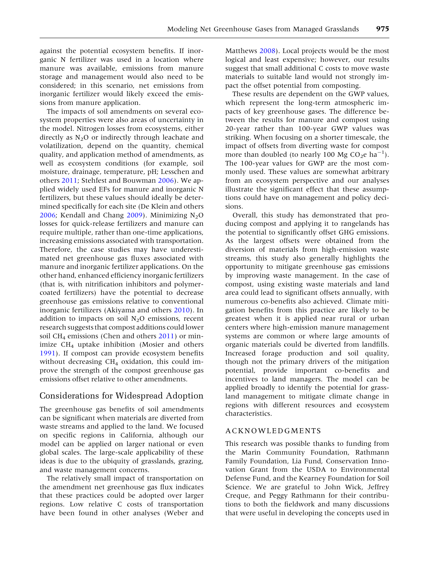against the potential ecosystem benefits. If inorganic N fertilizer was used in a location where manure was available, emissions from manure storage and management would also need to be considered; in this scenario, net emissions from inorganic fertilizer would likely exceed the emissions from manure application.

The impacts of soil amendments on several ecosystem properties were also areas of uncertainty in the model. Nitrogen losses from ecosystems, either directly as  $N_2O$  or indirectly through leachate and volatilization, depend on the quantity, chemical quality, and application method of amendments, as well as ecosystem conditions (for example, soil moisture, drainage, temperature, pH; Lesschen and others [2011](#page-16-0); Stehfest and Bouwman [2006\)](#page-16-0). We applied widely used EFs for manure and inorganic N fertilizers, but these values should ideally be determined specifically for each site (De Klein and others [2006;](#page-14-0) Kendall and Chang [2009](#page-15-0)). Minimizing  $N_2O$ losses for quick-release fertilizers and manure can require multiple, rather than one-time applications, increasing emissions associated with transportation. Therefore, the case studies may have underestimated net greenhouse gas fluxes associated with manure and inorganic fertilizer applications. On the other hand, enhanced efficiency inorganic fertilizers (that is, with nitrification inhibitors and polymercoated fertilizers) have the potential to decrease greenhouse gas emissions relative to conventional inorganic fertilizers (Akiyama and others [2010\)](#page-14-0). In addition to impacts on soil  $N_2O$  emissions, recent research suggests that compost additions could lower soil CH<sub>4</sub> emissions (Chen and others  $2011$ ) or minimize  $CH_4$  uptake inhibition (Mosier and others [1991\)](#page-16-0). If compost can provide ecosystem benefits without decreasing  $CH_4$  oxidation, this could improve the strength of the compost greenhouse gas emissions offset relative to other amendments.

# Considerations for Widespread Adoption

The greenhouse gas benefits of soil amendments can be significant when materials are diverted from waste streams and applied to the land. We focused on specific regions in California, although our model can be applied on larger national or even global scales. The large-scale applicability of these ideas is due to the ubiquity of grasslands, grazing, and waste management concerns.

The relatively small impact of transportation on the amendment net greenhouse gas flux indicates that these practices could be adopted over larger regions. Low relative C costs of transportation have been found in other analyses (Weber and

Matthews [2008](#page-17-0)). Local projects would be the most logical and least expensive; however, our results suggest that small additional C costs to move waste materials to suitable land would not strongly impact the offset potential from composting.

These results are dependent on the GWP values, which represent the long-term atmospheric impacts of key greenhouse gases. The difference between the results for manure and compost using 20-year rather than 100-year GWP values was striking. When focusing on a shorter timescale, the impact of offsets from diverting waste for compost more than doubled (to nearly 100 Mg  $CO_2e$  ha<sup>-1</sup>). The 100-year values for GWP are the most commonly used. These values are somewhat arbitrary from an ecosystem perspective and our analyses illustrate the significant effect that these assumptions could have on management and policy decisions.

Overall, this study has demonstrated that producing compost and applying it to rangelands has the potential to significantly offset GHG emissions. As the largest offsets were obtained from the diversion of materials from high-emission waste streams, this study also generally highlights the opportunity to mitigate greenhouse gas emissions by improving waste management. In the case of compost, using existing waste materials and land area could lead to significant offsets annually, with numerous co-benefits also achieved. Climate mitigation benefits from this practice are likely to be greatest when it is applied near rural or urban centers where high-emission manure management systems are common or where large amounts of organic materials could be diverted from landfills. Increased forage production and soil quality, though not the primary drivers of the mitigation potential, provide important co-benefits and incentives to land managers. The model can be applied broadly to identify the potential for grassland management to mitigate climate change in regions with different resources and ecosystem characteristics.

## ACKNOWLEDGMENTS

This research was possible thanks to funding from the Marin Community Foundation, Rathmann Family Foundation, Lia Fund, Conservation Innovation Grant from the USDA to Environmental Defense Fund, and the Kearney Foundation for Soil Science. We are grateful to John Wick, Jeffrey Creque, and Peggy Rathmann for their contributions to both the fieldwork and many discussions that were useful in developing the concepts used in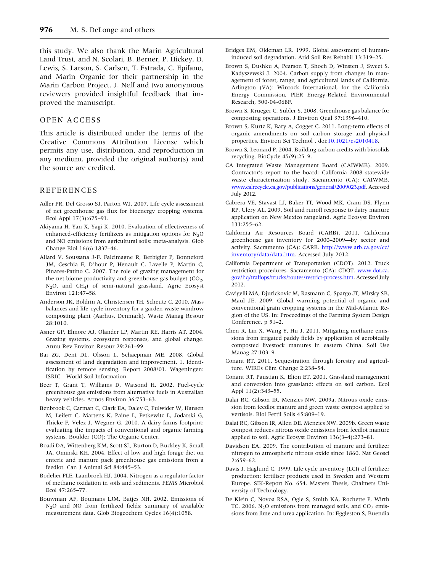<span id="page-14-0"></span>this study. We also thank the Marin Agricultural Land Trust, and N. Scolari, B. Berner, P. Hickey, D. Lewis, S. Larson, S. Carlsen, T. Estrada, C. Epifano, and Marin Organic for their partnership in the Marin Carbon Project. J. Neff and two anonymous reviewers provided insightful feedback that improved the manuscript.

## OPEN ACCESS

This article is distributed under the terms of the Creative Commons Attribution License which permits any use, distribution, and reproduction in any medium, provided the original author(s) and the source are credited.

#### REFERENCES

- Adler PR, Del Grosso SJ, Parton WJ. 2007. Life cycle assessment of net greenhouse gas flux for bioenergy cropping systems. Ecol Appl 17(3):675–91.
- Akiyama H, Yan X, Yagi K. 2010. Evaluation of effectiveness of enhanced-efficiency fertilizers as mitigation options for  $N_2O$ and NO emissions from agricultural soils: meta-analysis. Glob Change Biol 16(6):1837–46.
- Allard V, Soussana J-F, Falcimagne R, Berbigier P, Bonneford JM, Ceschia E, D'hour P, Henault C, Lavelle P, Martin C, Pinares-Patino C. 2007. The role of grazing management for the net biome productivity and greenhouse gas budget  $(CO<sub>2</sub>)$ , N2O, and CH4) of semi-natural grassland. Agric Ecosyst Environ 121:47–58.
- Anderson JK, Boldrin A, Christensen TH, Scheutz C. 2010. Mass balances and life-cycle inventory for a garden waste windrow composting plant (Aarhus, Denmark). Waste Manag Resour 28:1010.
- Asner GP, Elmore AJ, Olander LP, Martin RE, Harris AT. 2004. Grazing systems, ecosystem responses, and global change. Annu Rev Environ Resour 29:261–99.
- Bai ZG, Dent DL, Olsson L, Schaepman ME. 2008. Global assessment of land degradation and improvement. 1. Identification by remote sensing. Report 2008/01. Wageningen: ISRIC—World Soil Information.
- Beer T, Grant T, Williams D, Watsond H. 2002. Fuel-cycle greenhouse gas emissions from alternative fuels in Australian heavy vehicles. Atmos Environ 36:753–63.
- Benbrook C, Carman C, Clark EA, Daley C, Fulwider W, Hansen M, Leifert C, Martens K, Paine L, Petkewitz L, Jodarski G, Thicke F, Velez J, Wegner G. 2010. A dairy farms footprint: evaluating the impacts of conventional and organic farming systems. Boulder (CO): The Organic Center.
- Boadi DA, Wittenberg KM, Scott SL, Burton D, Buckley K, Small JA, Ominski KH. 2004. Effect of low and high forage diet on enteric and manure pack greenhouse gas emissions from a feedlot. Can J Animal Sci 84:445–53.
- Bodelier PLE, Laanbroek HJ. 2004. Nitrogen as a regulator factor of methane oxidation in soils and sediments. FEMS Microbiol Ecol 47:265–77.
- Bouwman AF, Boumans LJM, Batjes NH. 2002. Emissions of  $N<sub>2</sub>O$  and NO from fertilized fields: summary of available measurement data. Glob Biogeochem Cycles 16(4):1058.
- Bridges EM, Oldeman LR. 1999. Global assessment of humaninduced soil degradation. Arid Soil Res Rehabil 13:319–25.
- Brown S, Dushku A, Pearson T, Shoch D, Winsten J, Sweet S, Kadyszewski J. 2004. Carbon supply from changes in management of forest, range, and agricultural lands of California. Arlington (VA): Winrock International, for the California Energy Commission, PIER Energy-Related Environmental Research, 500-04-068F.
- Brown S, Krueger C, Subler S. 2008. Greenhouse gas balance for composting operations. J Environ Qual 37:1396–410.
- Brown S, Kurtz K, Bary A, Cogger C. 2011. Long-term effects of organic amendments on soil carbon storage and physical properties. Environ Sci Technol . doi:[10.1021/es2010418](http://dx.doi.org/10.1021/es2010418).
- Brown S, Leonard P. 2004. Building carbon credits with biosolids recycling. BioCycle 45(9):25–9.
- CA Integrated Waste Management Board (CAIWMB). 2009. Contractor's report to the board: California 2008 statewide waste characterization study. Sacramento (CA): CAIWMB. [www.calrecycle.ca.gov/publications/general/2009023.pdf](http://www.calrecycle.ca.gov/publications/general/2009023.pdf). Accessed July 2012.
- Cabrera VE, Stavast LJ, Baker TT, Wood MK, Cram DS, Flynn RP, Ulery AL. 2009. Soil and runoff response to dairy manure application on New Mexico rangeland. Agric Ecosyst Environ 131:255–62.
- California Air Resources Board (CARB). 2011. California greenhouse gas inventory for 2000–2009—by sector and activity. Sacramento (CA): CARB. [http://www.arb.ca.gov/cc/](http://www.arb.ca.gov/cc/inventory/data/data.htm) [inventory/data/data.htm](http://www.arb.ca.gov/cc/inventory/data/data.htm). Accessed July 2012.
- California Department of Transportation (CDOT). 2012. Truck restriction procedures. Sacramento (CA): CDOT. [www.dot.ca.](http://www.dot.ca.gov/hq/traffops/trucks/routes/restrict-process.htm) [gov/hq/traffops/trucks/routes/restrict-process.htm](http://www.dot.ca.gov/hq/traffops/trucks/routes/restrict-process.htm). Accessed July 2012.
- Cavigelli MA, Djurickovic M, Rasmann C, Spargo JT, Mirsky SB, Maul JE. 2009. Global warming potential of organic and conventional grain cropping systems in the Mid-Atlantic Region of the US. In: Proceedings of the Farming System Design Conference. p 51–2.
- Chen R, Lin X, Wang Y, Hu J. 2011. Mitigating methane emissions from irrigated paddy fields by application of aerobically composted livestock manures in eastern China. Soil Use Manag 27:103–9.
- Conant RT. 2011. Sequestration through forestry and agriculture. WIREs Clim Change 2:238–54.
- Conant RT, Paustian K, Elion ET. 2001. Grassland management and conversion into grassland: effects on soil carbon. Ecol Appl 11(2):343–55.
- Dalai RC, Gibson IR, Menzies NW. 2009a. Nitrous oxide emission from feedlot manure and green waste compost applied to vertisols. Biol Fertil Soils 45:809–19.
- Dalai RC, Gibson IR, Allen DE, Menzies NW. 2009b. Green waste compost reduces nitrous oxide emissions from feedlot manure applied to soil. Agric Ecosyst Environ 136(3–4):273–81.
- Davidson EA. 2009. The contribution of manure and fertilizer nitrogen to atmospheric nitrous oxide since 1860. Nat Geosci 2:659–62.
- Davis J, Haglund C. 1999. Life cycle inventory (LCI) of fertilizer production: fertiliser products used in Sweden and Western Europe. SIK-Report No. 654. Masters Thesis, Chalmers University of Technology.
- De Klein C, Novoa RSA, Ogle S, Smith KA, Rochette P, Wirth TC. 2006. N<sub>2</sub>O emissions from managed soils, and  $CO<sub>2</sub>$  emissions from lime and urea application. In: Eggleston S, Buendia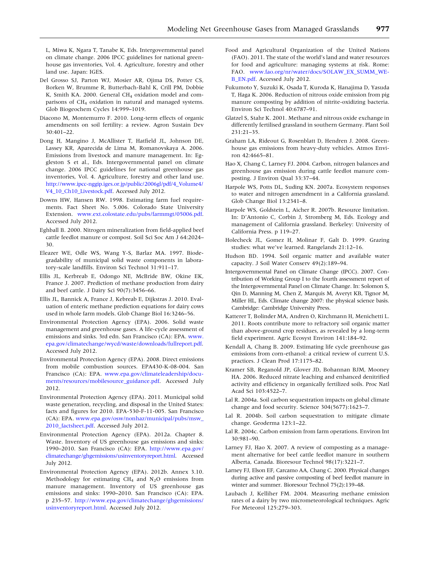<span id="page-15-0"></span>L, Miwa K, Ngara T, Tanabe K, Eds. Intergovernmental panel on climate change. 2006 IPCC guidelines for national greenhouse gas inventories, Vol. 4. Agriculture, forestry and other land use. Japan: IGES.

- Del Grosso SJ, Parton WJ, Mosier AR, Ojima DS, Potter CS, Borken W, Brumme R, Butterbach-Bahl K, Crill PM, Dobbie K, Smith KA. 2000. General  $CH<sub>4</sub>$  oxidation model and comparisons of CH<sub>4</sub> oxidation in natural and managed systems. Glob Biogeochem Cycles 14:999–1019.
- Diacono M, Montemurro F. 2010. Long-term effects of organic amendments on soil fertility: a review. Agron Sustain Dev 30:401–22.
- Dong H, Mangino J, McAllister T, Hatfield JL, Johnson DE, Lassey KR, Aparecida de Lima M, Romanovskaya A. 2006. Emissions from livestock and manure management. In: Eggleston S et al., Eds. Intergovernmental panel on climate change. 2006 IPCC guidelines for national greenhouse gas inventories, Vol. 4. Agriculture, forestry and other land use. [http://www.ipcc-nggip.iges.or.jp/public/2006gl/pdf/4\\_Volume4/](http://www.ipcc-nggip.iges.or.jp/public/2006gl/pdf/4_Volume4/V4_10_Ch10_Livestock.pdf) [V4\\_10\\_Ch10\\_Livestock.pdf.](http://www.ipcc-nggip.iges.or.jp/public/2006gl/pdf/4_Volume4/V4_10_Ch10_Livestock.pdf) Accessed July 2012.
- Downs HW, Hansen RW. 1998. Estimating farm fuel requirements. Fact Sheet No. 5.006. Colorado State University Extension. [www.ext.colostate.edu/pubs/farmmgt/05006.pdf.](http://www.ext.colostate.edu/pubs/farmmgt/05006.pdf) Accessed July 2012.
- Eghball B. 2000. Nitrogen mineralization from field-applied beef cattle feedlot manure or compost. Soil Sci Soc Am J 64:2024– 30.
- Eleazer WE, Odle WS, Wang Y-S, Barlaz MA. 1997. Biodegradability of municipal solid waste components in laboratory-scale landfills. Environ Sci Technol 31:911–17.
- Ellis JL, Kerbreab E, Odongo NE, McBride BW, Okine EK, France J. 2007. Prediction of methane production from dairy and beef cattle. J Dairy Sci 90(7):3456–66.
- Ellis JL, Bannick A, France J, Kebreab E, Dijkstras J. 2010. Evaluation of enteric methane prediction equations for dairy cows used in whole farm models. Glob Change Biol 16:3246–56.
- Environmental Protection Agency (EPA). 2006. Solid waste management and greenhouse gases. A life-cycle assessment of emissions and sinks. 3rd edn. San Francisco (CA): EPA. [www.](http://www.epa.gov/climatechange/wycd/waste/downloads/fullreport.pdf) [epa.gov/climatechange/wycd/waste/downloads/fullreport.pdf](http://www.epa.gov/climatechange/wycd/waste/downloads/fullreport.pdf). Accessed July 2012.
- Environmental Protection Agency (EPA). 2008. Direct emissions from mobile combustion sources. EPA430-K-08-004. San Francisco (CA): EPA. [www.epa.gov/climateleadership/docu](http://www.epa.gov/climateleadership/documents/resources/mobilesource_guidance.pdf)[ments/resources/mobilesource\\_guidance.pdf.](http://www.epa.gov/climateleadership/documents/resources/mobilesource_guidance.pdf) Accessed July 2012.
- Environmental Protection Agency (EPA). 2011. Municipal solid waste generation, recycling, and disposal in the United States: facts and figures for 2010. EPA-530-F-11-005. San Francisco (CA): EPA. [www.epa.gov/osw/nonhaz/municipal/pubs/msw\\_](http://www.epa.gov/osw/nonhaz/municipal/pubs/msw_2010_factsheet.pdf) [2010\\_factsheet.pdf.](http://www.epa.gov/osw/nonhaz/municipal/pubs/msw_2010_factsheet.pdf) Accessed July 2012.
- Environmental Protection Agency (EPA). 2012a. Chapter 8. Waste. Inventory of US greenhouse gas emissions and sinks: 1990–2010. San Francisco (CA): EPA. [http://www.epa.gov/](http://www.epa.gov/climatechange/ghgemissions/usinventoryreport.html) [climatechange/ghgemissions/usinventoryreport.html.](http://www.epa.gov/climatechange/ghgemissions/usinventoryreport.html) Accessed July 2012.
- Environmental Protection Agency (EPA). 2012b. Annex 3.10. Methodology for estimating  $CH_4$  and  $N_2O$  emissions from manure management. Inventory of US greenhouse gas emissions and sinks: 1990–2010. San Francisco (CA): EPA. p 235–57. [http://www.epa.gov/climatechange/ghgemissions/](http://www.epa.gov/climatechange/ghgemissions/usinventoryreport.html) [usinventoryreport.html.](http://www.epa.gov/climatechange/ghgemissions/usinventoryreport.html) Accessed July 2012.
- Food and Agricultural Organization of the United Nations (FAO). 2011. The state of the world's land and water resources for food and agriculture: managing systems at risk. Rome: FAO. [www.fao.org/nr/water/docs/SOLAW\\_EX\\_SUMM\\_WE-](http://www.fao.org/nr/water/docs/SOLAW_EX_SUMM_WEB_EN.pdf)[B\\_EN.pdf.](http://www.fao.org/nr/water/docs/SOLAW_EX_SUMM_WEB_EN.pdf) Accessed July 2012.
- Fukumoto Y, Suzuki K, Osada T, Kuroda K, Hanajima D, Yasuda T, Haga K. 2006. Reduction of nitrous oxide emission from pig manure composting by addition of nitrite-oxidizing bacteria. Environ Sci Technol 40:6787–91.
- Glatzel S, Stahr K. 2001. Methane and nitrous oxide exchange in differently fertilised grassland in southern Germany. Plant Soil 231:21–35.
- Graham LA, Rideout G, Rosenblatt D, Hendren J. 2008. Greenhouse gas emissions from heavy-duty vehicles. Atmos Environ 42:4665–81.
- Hao X, Chang C, Larney FJ. 2004. Carbon, nitrogen balances and greenhouse gas emission during cattle feedlot manure composting. J Environ Qual 33:37–44.
- Harpole WS, Potts DL, Suding KN. 2007a. Ecosystem responses to water and nitrogen amendment in a California grassland. Glob Change Biol 13:2341–8.
- Harpole WS, Goldstein L, Aicher R. 2007b. Resource limitation. In: D'Antonio C, Corbin J, Stromberg M, Eds. Ecology and management of California grassland. Berkeley: University of California Press. p 119–27.
- Holecheck JL, Gomez H, Molinar F, Galt D. 1999. Grazing studies: what we've learned. Rangelands 21:12–16.
- Hudson BD. 1994. Soil organic matter and available water capacity. J Soil Water Conserv 49(2):189–94.
- Intergovernmental Panel on Climate Change (IPCC). 2007. Contribution of Working Group I to the fourth assessment report of the Intergovernmental Panel on Climate Change. In: Solomon S, Qin D, Manning M, Chen Z, Marquis M, Averyt KB, Tignor M, Miller HL, Eds. Climate change 2007: the physical science basis. Cambridge: Cambridge University Press.
- Katterer T, Bolinder MA, Andren O, Kirchmann H, Menichetti L. 2011. Roots contribute more to refractory soil organic matter than above-ground crop residues, as revealed by a long-term field experiment. Agric Ecosyst Environ 141:184–92.
- Kendall A, Chang B. 2009. Estimating life cycle greenhouse gas emissions from corn-ethanol: a critical review of current U.S. practices. J Clean Prod 17:1175–82.
- Kramer SB, Reganold JP, Glover JD, Bohannan BJM, Mooney HA. 2006. Reduced nitrate leaching and enhanced denitrified activity and efficiency in organically fertilized soils. Proc Natl Acad Sci 103:4522–7.
- Lal R. 2004a. Soil carbon sequestration impacts on global climate change and food security. Science 304(5677):1623–7.
- Lal R. 2004b. Soil carbon sequestration to mitigate climate change. Geoderma 123:1–22.
- Lal R. 2004c. Carbon emission from farm operations. Environ Int 30:981–90.
- Larney FJ, Hao X. 2007. A review of composting as a management alternative for beef cattle feedlot manure in southern Alberta, Canada. Bioresour Technol 98(17):3221–7.
- Larney FJ, Elson EF, Carcamo AA, Chang C. 2000. Physical changes during active and passive composting of beef feedlot manure in winter and summer. Bioresour Technol 75(2):139–48.
- Laubach J, Kelliher FM. 2004. Measuring methane emission rates of a dairy by two micrometeorological techniques. Agric For Meteorol 125:279–303.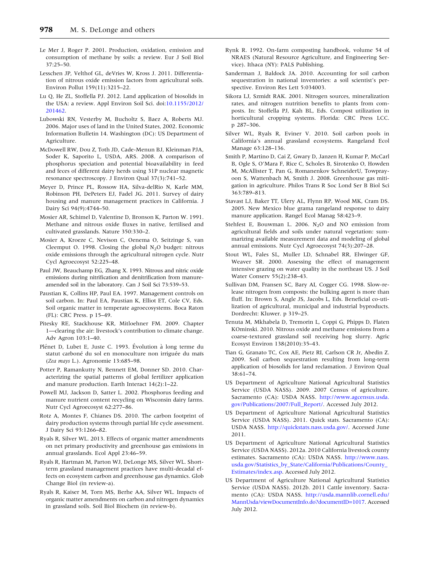- <span id="page-16-0"></span>Le Mer J, Roger P. 2001. Production, oxidation, emission and consumption of methane by soils: a review. Eur J Soil Biol 37:25–50.
- Lesschen JP, Velthof GL, deVries W, Kross J. 2011. Differentiation of nitrous oxide emission factors from agricultural soils. Environ Pollut 159(11):3215–22.
- Lu Q, He ZL, Stoffella PJ. 2012. Land application of biosolids in the USA: a review. Appl Environ Soil Sci. doi:[10.1155/2012/](http://dx.doi.org/10.1155/2012/201462) [201462.](http://dx.doi.org/10.1155/2012/201462)
- Lubowski RN, Vesterby M, Bucholtz S, Baez A, Roberts MJ. 2006. Major uses of land in the United States, 2002. Economic Information Bulletin 14. Washington (DC): US Department of Agriculture.
- McDowell RW, Dou Z, Toth JD, Cade-Menun BJ, Kleinman PJA, Soder K, Saporito L, USDA, ARS. 2008. A comparison of phosphorus speciation and potential bioavailability in feed and feces of different dairy herds using 31P nuclear magnetic resonance spectroscopy. J Environ Qual 37(3):741–52.
- Meyer D, Prince PL, Rossow HA, Silva-delRio N, Karle MM, Robinson PH, DePeters EJ, Fadel JG. 2011. Survey of dairy housing and manure management practices in California. J Dairy Sci 94(9):4744–50.
- Mosier AR, Schimel D, Valentine D, Bronson K, Parton W. 1991. Methane and nitrous oxide fluxes in native, fertilised and cultivated grasslands. Nature 350:330–2.
- Mosier A, Kroeze C, Nevison C, Oenema O, Seitzinge S, van Cleemput O. 1998. Closing the global  $N_2O$  budget: nitrous oxide emissions through the agricultural nitrogen cycle. Nutr Cycl Agroecosyst 52:225–48.
- Paul JW, Beauchamp EG, Zhang X. 1993. Nitrous and nitric oxide emissions during nitrification and denitrification from manureamended soil in the laboratory. Can J Soil Sci 73:539–53.
- Paustian K, Collins HP, Paul EA. 1997. Management controls on soil carbon. In: Paul EA, Paustian K, Elliot ET, Cole CV, Eds. Soil organic matter in temperate agroecosystems. Boca Raton (FL): CRC Press. p 15–49.
- Pitesky RE, Stackhouse KR, Mitloehner FM. 2009. Chapter 1—clearing the air: livestock's contribution to climate change. Adv Agron 103:1–40.
- Plénet D, Lubet E, Juste C. 1993. Évolution à long terme du statut carboné du sol en monoculture non irriguée du maïs (Zea mays L.). Agronomie 13:685–98.
- Potter P, Ramankutty N, Bennett EM, Donner SD. 2010. Characterizing the spatial patterns of global fertilizer application and manure production. Earth Interact 14(2):1–22.
- Powell MJ, Jackson D, Satter L. 2002. Phosphorus feeding and manure nutrient content recycling on Wisconsin dairy farms. Nutr Cycl Agroecosyst 62:277–86.
- Rotz A, Montes F, Chianes DS. 2010. The carbon footprint of dairy production systems through partial life cycle assessment. J Dairy Sci 93:1266–82.
- Ryals R, Silver WL. 2013. Effects of organic matter amendments on net primary productivity and greenhouse gas emissions in annual grasslands. Ecol Appl 23:46–59.
- Ryals R, Hartman M, Parton WJ, DeLonge MS, Silver WL. Shortterm grassland management practices have multi-decadal effects on ecosystem carbon and greenhouse gas dynamics. Glob Change Biol (in review-a).
- Ryals R, Kaiser M, Torn MS, Berhe AA, Silver WL. Impacts of organic matter amendments on carbon and nitrogen dynamics in grassland soils. Soil Biol Biochem (in review-b).
- Rynk R. 1992. On-farm composting handbook, volume 54 of NRAES (Natural Resource Agriculture, and Engineering Service). Ithaca (NY): PALS Publishing.
- Sanderman J, Baldock JA. 2010. Accounting for soil carbon sequestration in national inventories: a soil scientist's perspective. Environ Res Lett 5:034003.
- Sikora LJ, Szmidt RAK. 2001. Nitrogen sources, mineralization rates, and nitrogen nutrition benefits to plants from composts. In: Stoffella PJ, Kah BL, Eds. Compost utilization in horticultural cropping systems. Florida: CRC Press LCC. p 287–306.
- Silver WL, Ryals R, Eviner V. 2010. Soil carbon pools in California's annual grassland ecosystems. Rangeland Ecol Manage 63:128–136.
- Smith P, Martino D, Cai Z, Gwary D, Janzen H, Kumar P, McCarl B, Ogle S, O'Mara F, Rice C, Scholes B, Sirotenko O, Howden M, McAllister T, Pan G, Romanenkov SchneiderU, Towprayoon S, Wattenbach M, Smith J. 2008. Greenhouse gas mitigation in agriculture. Philos Trans R Soc Lond Ser B Biol Sci 363:789–813.
- Stavast LJ, Baker TT, Ulery AL, Flynn RP, Wood MK, Cram DS. 2005. New Mexico blue grama rangeland response to dairy manure application. Rangel Ecol Manag 58:423–9.
- Stehfest E, Bouwman L. 2006.  $N_2O$  and NO emission from agricultural fields and soils under natural vegetation: summarizing available measurement data and modeling of global annual emissions. Nutr Cycl Agroecosyst 74(3):207–28.
- Stout WL, Fales SL, Muller LD, Schnabel RR, Elwinger GF, Weaver SR. 2000. Assessing the effect of management intensive grazing on water quality in the northeast US. J Soil Water Conserv 55(2):238–43.
- Sullivan DM, Fransen SC, Bary AI, Cogger CG. 1998. Slow-release nitrogen from composts: the bulking agent is more than fluff. In: Brown S, Angle JS, Jacobs L, Eds. Beneficial co-utilization of agricultural, municipal and industrial byproducts. Dordrecht: Kluwer. p 319–25.
- Tenuta M, Mkhabela D, Tremorin L, Coppi G, Phipps D, Flaten KOminski. 2010. Nitrous oxide and methane emissions from a coarse-textured grassland soil receiving hog slurry. Agric Ecosyst Environ 138(2010):35–43.
- Tian G, Granato TC, Cox AE, Pietz RI, Carlson CR Jr, Abedin Z. 2009. Soil carbon sequestration resulting from long-term application of biosolids for land reclamation. J Environ Qual 38:61–74.
- US Department of Agriculture National Agricultural Statistics Service (USDA NASS). 2009. 2007 Census of agriculture. Sacramento (CA): USDA NASS. [http://www.agcensus.usda.](http://www.agcensus.usda.gov/Publications/2007/Full_Report/) [gov/Publications/2007/Full\\_Report/](http://www.agcensus.usda.gov/Publications/2007/Full_Report/). Accessed July 2012.
- US Department of Agriculture National Agricultural Statistics Service (USDA NASS). 2011. Quick stats. Sacramento (CA): USDA NASS. <http://quickstats.nass.usda.gov/>. Accessed June 2011.
- US Department of Agriculture National Agricultural Statistics Service (USDA NASS). 2012a. 2010 California livestock county estimates. Sacramento (CA): USDA NASS. [http://www.nass.](http://www.nass.usda.gov/Statistics_by_State/California/Publications/County_Estimates/index.asp) [usda.gov/Statistics\\_by\\_State/California/Publications/County\\_](http://www.nass.usda.gov/Statistics_by_State/California/Publications/County_Estimates/index.asp) [Estimates/index.asp.](http://www.nass.usda.gov/Statistics_by_State/California/Publications/County_Estimates/index.asp) Accessed July 2012.
- US Department of Agriculture National Agricultural Statistics Service (USDA NASS). 2012b. 2011 Cattle inventory. Sacramento (CA): USDA NASS. [http://usda.mannlib.cornell.edu/](http://usda.mannlib.cornell.edu/MannUsda/viewDocumentInfo.do?documentID=1017) [MannUsda/viewDocumentInfo.do?documentID=1017.](http://usda.mannlib.cornell.edu/MannUsda/viewDocumentInfo.do?documentID=1017) Accessed July 2012.